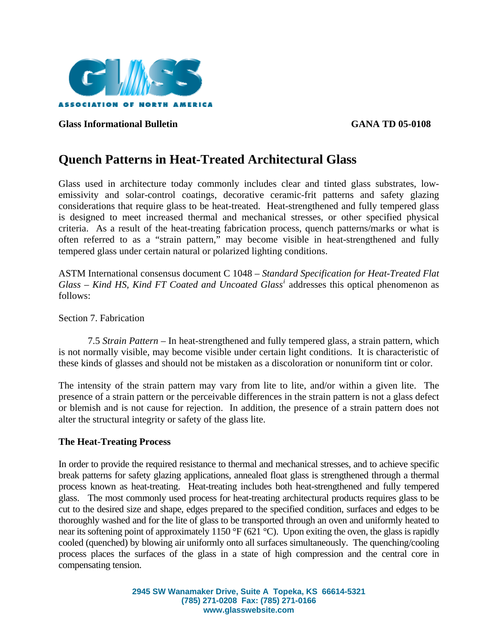

**Glass Informational Bulletin GANA TD 05-0108** 

# **Quench Patterns in Heat-Treated Architectural Glass**

Glass used in architecture today commonly includes clear and tinted glass substrates, lowemissivity and solar-control coatings, decorative ceramic-frit patterns and safety glazing considerations that require glass to be heat-treated. Heat-strengthened and fully tempered glass is designed to meet increased thermal and mechanical stresses, or other specified physical criteria. As a result of the heat-treating fabrication process, quench patterns/marks or what is often referred to as a "strain pattern," may become visible in heat-strengthened and fully tempered glass under certain natural or polarized lighting conditions.

ASTM International consensus document C 1048 – *Standard Specification for Heat-Treated Flat Glass – Kind HS, Kind FT Coated and Uncoated Glass[i](#page-2-0)* addresses this optical phenomenon as follows:

Section 7. Fabrication

7.5 *Strain Pattern –* In heat-strengthened and fully tempered glass, a strain pattern, which is not normally visible, may become visible under certain light conditions. It is characteristic of these kinds of glasses and should not be mistaken as a discoloration or nonuniform tint or color.

The intensity of the strain pattern may vary from lite to lite, and/or within a given lite. The presence of a strain pattern or the perceivable differences in the strain pattern is not a glass defect or blemish and is not cause for rejection. In addition, the presence of a strain pattern does not alter the structural integrity or safety of the glass lite.

### **The Heat-Treating Process**

In order to provide the required resistance to thermal and mechanical stresses, and to achieve specific break patterns for safety glazing applications, annealed float glass is strengthened through a thermal process known as heat-treating. Heat-treating includes both heat-strengthened and fully tempered glass. The most commonly used process for heat-treating architectural products requires glass to be cut to the desired size and shape, edges prepared to the specified condition, surfaces and edges to be thoroughly washed and for the lite of glass to be transported through an oven and uniformly heated to near its softening point of approximately 1150 °F (621 °C). Upon exiting the oven, the glass is rapidly cooled (quenched) by blowing air uniformly onto all surfaces simultaneously. The quenching/cooling process places the surfaces of the glass in a state of high compression and the central core in compensating tension.

> **2945 SW Wanamaker Drive, Suite A Topeka, KS 66614-5321 (785) 271-0208 Fax: (785) 271-0166 www.glasswebsite.com**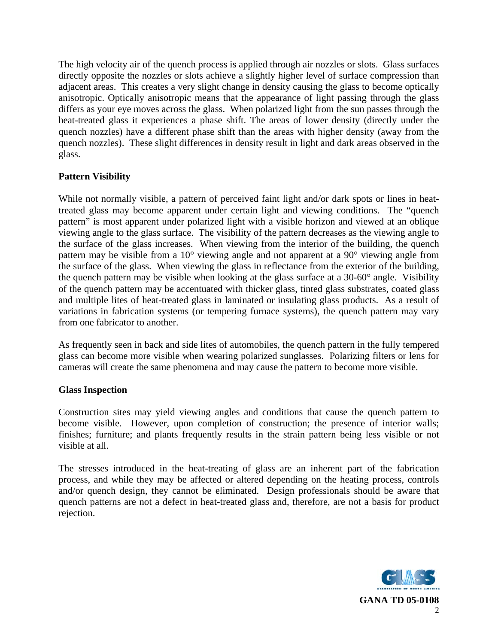The high velocity air of the quench process is applied through air nozzles or slots. Glass surfaces directly opposite the nozzles or slots achieve a slightly higher level of surface compression than adjacent areas. This creates a very slight change in density causing the glass to become optically anisotropic. Optically anisotropic means that the appearance of light passing through the glass differs as your eye moves across the glass. When polarized light from the sun passes through the heat-treated glass it experiences a phase shift. The areas of lower density (directly under the quench nozzles) have a different phase shift than the areas with higher density (away from the quench nozzles). These slight differences in density result in light and dark areas observed in the glass.

## **Pattern Visibility**

While not normally visible, a pattern of perceived faint light and/or dark spots or lines in heattreated glass may become apparent under certain light and viewing conditions. The "quench pattern" is most apparent under polarized light with a visible horizon and viewed at an oblique viewing angle to the glass surface. The visibility of the pattern decreases as the viewing angle to the surface of the glass increases. When viewing from the interior of the building, the quench pattern may be visible from a 10° viewing angle and not apparent at a 90° viewing angle from the surface of the glass. When viewing the glass in reflectance from the exterior of the building, the quench pattern may be visible when looking at the glass surface at a 30-60° angle. Visibility of the quench pattern may be accentuated with thicker glass, tinted glass substrates, coated glass and multiple lites of heat-treated glass in laminated or insulating glass products. As a result of variations in fabrication systems (or tempering furnace systems), the quench pattern may vary from one fabricator to another.

As frequently seen in back and side lites of automobiles, the quench pattern in the fully tempered glass can become more visible when wearing polarized sunglasses. Polarizing filters or lens for cameras will create the same phenomena and may cause the pattern to become more visible.

### **Glass Inspection**

Construction sites may yield viewing angles and conditions that cause the quench pattern to become visible. However, upon completion of construction; the presence of interior walls; finishes; furniture; and plants frequently results in the strain pattern being less visible or not visible at all.

The stresses introduced in the heat-treating of glass are an inherent part of the fabrication process, and while they may be affected or altered depending on the heating process, controls and/or quench design, they cannot be eliminated. Design professionals should be aware that quench patterns are not a defect in heat-treated glass and, therefore, are not a basis for product rejection.